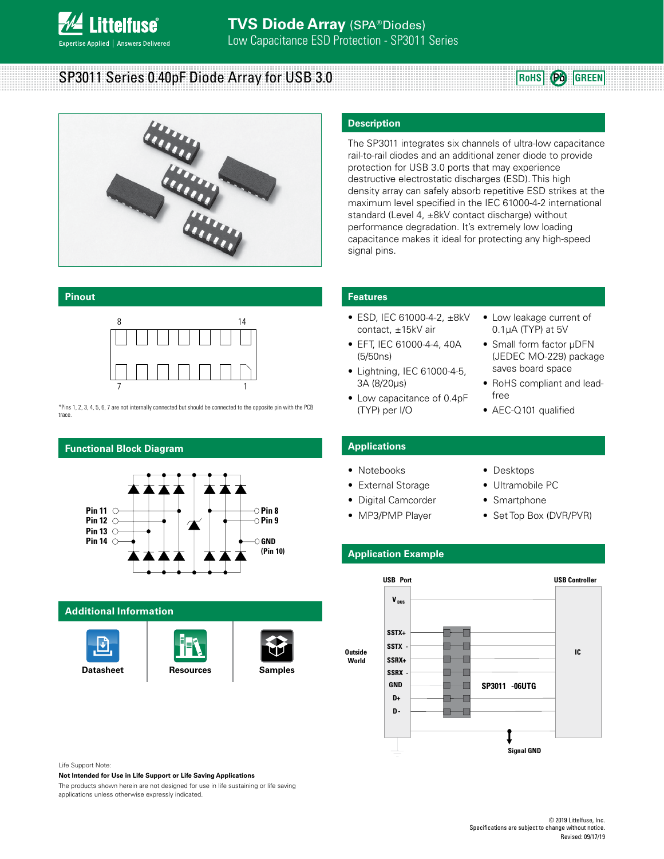

SP3011 Series 0.40pF Diode Array for USB 3.0





#### **Pinout**



\*Pins 1, 2, 3, 4, 5, 6, 7 are not internally connected but should be connected to the opposite pin with the PCB trace.

# **Functional Block Diagram**



#### **Additional Information**







#### **Description**

The SP3011 integrates six channels of ultra-low capacitance rail-to-rail diodes and an additional zener diode to provide protection for USB 3.0 ports that may experience destructive electrostatic discharges (ESD). This high density array can safely absorb repetitive ESD strikes at the maximum level specified in the IEC 61000-4-2 international standard (Level 4, ±8kV contact discharge) without performance degradation. It's extremely low loading capacitance makes it ideal for protecting any high-speed signal pins.

#### **Features**

- ESD, IEC 61000-4-2, ±8kV contact, ±15kV air
- EFT, IEC 61000-4-4, 40A (5/50ns)
- Lightning, IEC 61000-4-5, 3A (8/20μs)
- Low capacitance of 0.4pF (TYP) per I/O
- Low leakage current of 0.1μA (TYP) at 5V
- Small form factor μDFN (JEDEC MO-229) package saves board space
- RoHS compliant and leadfree
- AEC-Q101 qualified

# **Applications**

- Notebooks
- External Storage
- Digital Camcorder
- MP3/PMP Player
- Ultramobile PC • Smartphone

• Desktops

• Set Top Box (DVR/PVR)

## **Application Example**



Life Support Note:

**Not Intended for Use in Life Support or Life Saving Applications**

The products shown herein are not designed for use in life sustaining or life saving applications unless otherwise expressly indicated.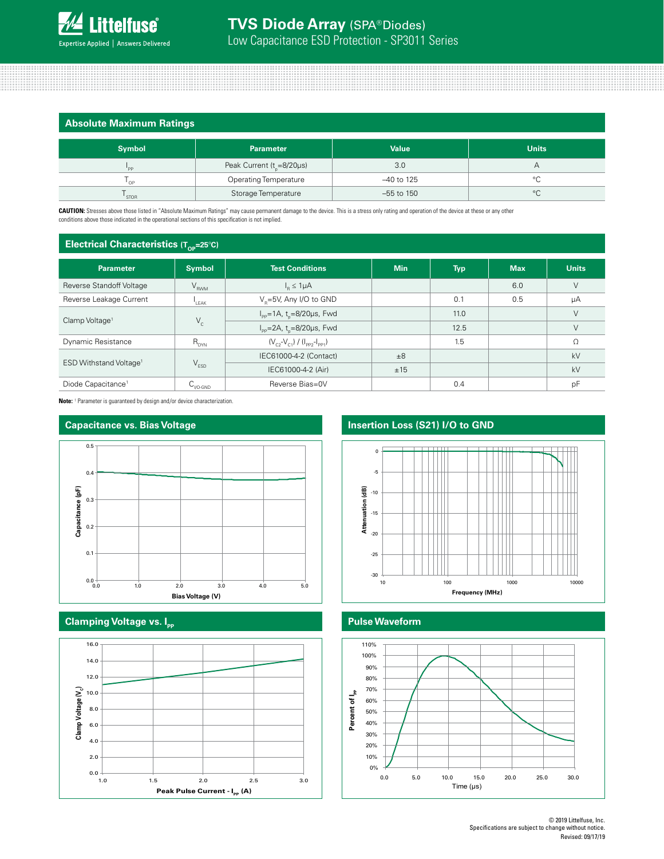

# **Absolute Maximum Ratings**

| .             |                                        |              |              |
|---------------|----------------------------------------|--------------|--------------|
| <b>Symbol</b> | <b>Parameter</b>                       | <b>Value</b> | <b>Units</b> |
| 'PP           | Peak Current ( $t_{\text{e}}$ =8/20µs) | 3.0          |              |
| OP            | <b>Operating Temperature</b>           | -40 to 125   |              |
| STOR          | Storage Temperature                    | $-55$ to 150 | $\circ$      |

**CAUTION:** Stresses above those listed in "Absolute Maximum Ratings" may cause permanent damage to the device. This is a stress only rating and operation of the device at these or any other conditions above those indicated in the operational sections of this specification is not implied.

#### **Electrical Characteristics (T. = 25°C)**

| the contract of the contract of the contract of the contract of the contract of the contract of the contract of the contract of the contract of the contract of the contract of the contract of the contract of the contract o |                      |                                                    |            |            |            |                |
|--------------------------------------------------------------------------------------------------------------------------------------------------------------------------------------------------------------------------------|----------------------|----------------------------------------------------|------------|------------|------------|----------------|
| <b>Parameter</b>                                                                                                                                                                                                               | <b>Symbol</b>        | <b>Test Conditions</b>                             | <b>Min</b> | <b>Typ</b> | <b>Max</b> | <b>Units</b>   |
| Reverse Standoff Voltage                                                                                                                                                                                                       | $V_{RWM}$            | $I_{\rm B} \leq 1 \mu A$                           |            |            | 6.0        | $\vee$         |
| Reverse Leakage Current                                                                                                                                                                                                        | LEAK                 | V <sub>B</sub> =5V, Any I/O to GND                 |            | 0.1        | 0.5        | μA             |
|                                                                                                                                                                                                                                |                      | $I_{\rm pp}$ =1A, t <sub>n</sub> =8/20µs, Fwd      |            | 11.0       |            | $\vee$         |
| Clamp Voltage <sup>1</sup>                                                                                                                                                                                                     | $V_c$                | $I_{\text{pp}} = 2A$ , t <sub>n</sub> =8/20µs, Fwd |            | 12.5       |            | $\vee$         |
| Dynamic Resistance                                                                                                                                                                                                             | $R_{DYN}$            | $(V_{c2} - V_{c1}) / (I_{pp2} - I_{pp1})$          |            | 1.5        |            | Ω              |
| ESD Withstand Voltage <sup>1</sup>                                                                                                                                                                                             |                      | IEC61000-4-2 (Contact)                             | ±8         |            |            | kV<br>kV<br>pF |
|                                                                                                                                                                                                                                | $V_{ESD}$            | IEC61000-4-2 (Air)                                 | ±15        |            |            |                |
| Diode Capacitance <sup>1</sup>                                                                                                                                                                                                 | $C_{\text{IVO-GND}}$ | Reverse Bias=0V                                    |            | 0.4        |            |                |

**Note:** <sup>1</sup> Parameter is guaranteed by design and/or device characterization.





### **Clamping Voltage vs. Ipp**



# **Capacitance vs. Bias Voltage <b>Insertion Loss (S21)** I/O to GND



#### **Pulse Waveform**

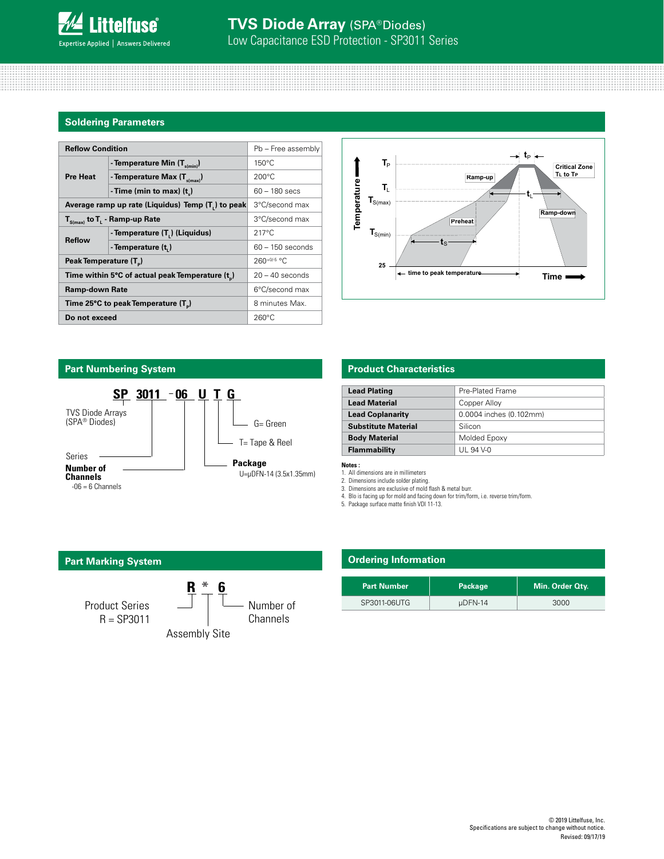

#### **Soldering Parameters**

| <b>Reflow Condition</b>                         | Pb - Free assembly                                |                    |  |
|-------------------------------------------------|---------------------------------------------------|--------------------|--|
|                                                 | - Temperature Min $(T_{s(min)})$                  | $150^{\circ}$ C    |  |
| <b>Pre Heat</b>                                 | - Temperature Max $(T_{s(max)})$                  | $200^{\circ}$ C    |  |
|                                                 | - Time (min to max) $(tn)$                        | $60 - 180$ secs    |  |
|                                                 | Average ramp up rate (Liquidus) Temp (T,) to peak | 3°C/second max     |  |
|                                                 | $T_{S(max)}$ to $T_{L}$ - Ramp-up Rate            | 3°C/second max     |  |
| <b>Reflow</b>                                   | - Temperature (T.) (Liquidus)                     | $217^{\circ}$ C    |  |
|                                                 | - Temperature (t.)                                | $60 - 150$ seconds |  |
| Peak Temperature (T <sub>n</sub> )              |                                                   | $260+0/5$ °C       |  |
| Time within 5°C of actual peak Temperature (t)  |                                                   | $20 - 40$ seconds  |  |
| <b>Ramp-down Rate</b>                           |                                                   | 6°C/second max     |  |
| Time 25°C to peak Temperature (T <sub>a</sub> ) |                                                   | 8 minutes Max.     |  |
| Do not exceed                                   | $260^{\circ}$ C                                   |                    |  |



## **Part Numbering System**



## **Product Characteristics**

| <b>Lead Plating</b>        | Pre-Plated Frame        |  |
|----------------------------|-------------------------|--|
| <b>Lead Material</b>       | Copper Alloy            |  |
| <b>Lead Coplanarity</b>    | 0.0004 inches (0.102mm) |  |
| <b>Substitute Material</b> | Silicon                 |  |
| <b>Body Material</b>       | Molded Epoxy            |  |
| Flammability               | UL 94 V-0               |  |

**Notes :** 

1. All dimensions are in millimeters

2. Dimensions include solder plating. 3. Dimensions are exclusive of mold flash & metal burr. 4. Blo is facing up for mold and facing down for trim/form, i.e. reverse trim/form. 5. Package surface matte finish VDI 11-13.

**Part Marking System R \* 6** Product Series R = SP3011 Assembly Site Number of Channels

# **Ordering Information**

| <b>Part Number</b> | Package | Min. Order Qty. |
|--------------------|---------|-----------------|
| SP3011-06UTG       | uDFN-14 | 3000            |